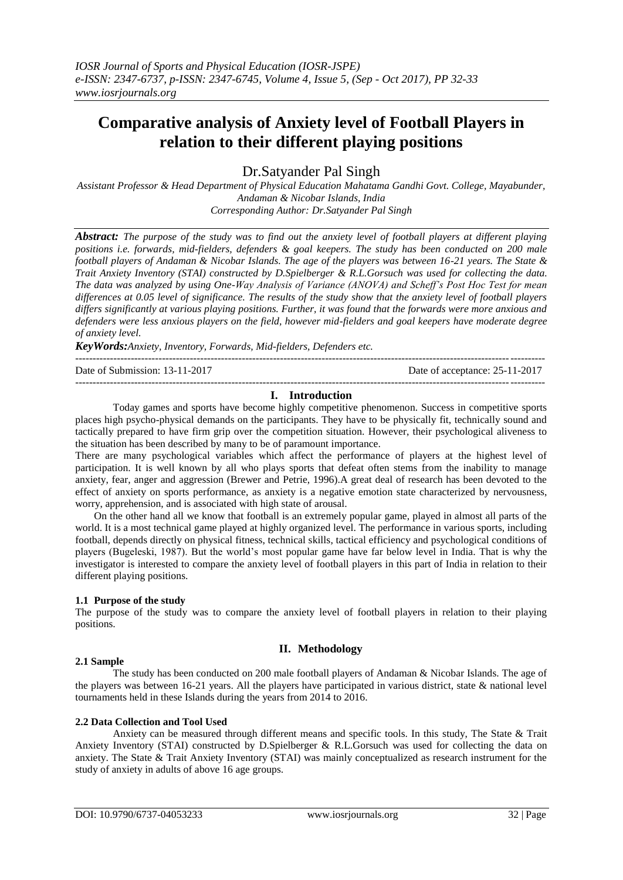# **Comparative analysis of Anxiety level of Football Players in relation to their different playing positions**

Dr.Satyander Pal Singh

*Assistant Professor & Head Department of Physical Education Mahatama Gandhi Govt. College, Mayabunder, Andaman & Nicobar Islands, India Corresponding Author: Dr.Satyander Pal Singh*

*Abstract: The purpose of the study was to find out the anxiety level of football players at different playing positions i.e. forwards, mid-fielders, defenders & goal keepers. The study has been conducted on 200 male football players of Andaman & Nicobar Islands. The age of the players was between 16-21 years. The State & Trait Anxiety Inventory (STAI) constructed by D.Spielberger & R.L.Gorsuch was used for collecting the data. The data was analyzed by using One-Way Analysis of Variance (ANOVA) and Scheff's Post Hoc Test for mean differences at 0.05 level of significance. The results of the study show that the anxiety level of football players differs significantly at various playing positions. Further, it was found that the forwards were more anxious and defenders were less anxious players on the field, however mid-fielders and goal keepers have moderate degree of anxiety level.*

*KeyWords:Anxiety, Inventory, Forwards, Mid-fielders, Defenders etc.*

Date of Submission: 13-11-2017 Date of acceptance: 25-11-2017

### --------------------------------------------------------------------------------------------------------------------------------------- **I. Introduction**

---------------------------------------------------------------------------------------------------------------------------------------

Today games and sports have become highly competitive phenomenon. Success in competitive sports places high psycho-physical demands on the participants. They have to be physically fit, technically sound and tactically prepared to have firm grip over the competition situation. However, their psychological aliveness to the situation has been described by many to be of paramount importance.

There are many psychological variables which affect the performance of players at the highest level of participation. It is well known by all who plays sports that defeat often stems from the inability to manage anxiety, fear, anger and aggression (Brewer and Petrie, 1996).A great deal of research has been devoted to the effect of anxiety on sports performance, as anxiety is a negative emotion state characterized by nervousness, worry, apprehension, and is associated with high state of arousal.

On the other hand all we know that football is an extremely popular game, played in almost all parts of the world. It is a most technical game played at highly organized level. The performance in various sports, including football, depends directly on physical fitness, technical skills, tactical efficiency and psychological conditions of players (Bugeleski, 1987). But the world's most popular game have far below level in India. That is why the investigator is interested to compare the anxiety level of football players in this part of India in relation to their different playing positions.

## **1.1 Purpose of the study**

The purpose of the study was to compare the anxiety level of football players in relation to their playing positions.

## **II. Methodology**

## **2.1 Sample**

The study has been conducted on 200 male football players of Andaman & Nicobar Islands. The age of the players was between 16-21 years. All the players have participated in various district, state & national level tournaments held in these Islands during the years from 2014 to 2016.

## **2.2 Data Collection and Tool Used**

Anxiety can be measured through different means and specific tools. In this study, The State & Trait Anxiety Inventory (STAI) constructed by D.Spielberger & R.L.Gorsuch was used for collecting the data on anxiety. The State & Trait Anxiety Inventory (STAI) was mainly conceptualized as research instrument for the study of anxiety in adults of above 16 age groups.